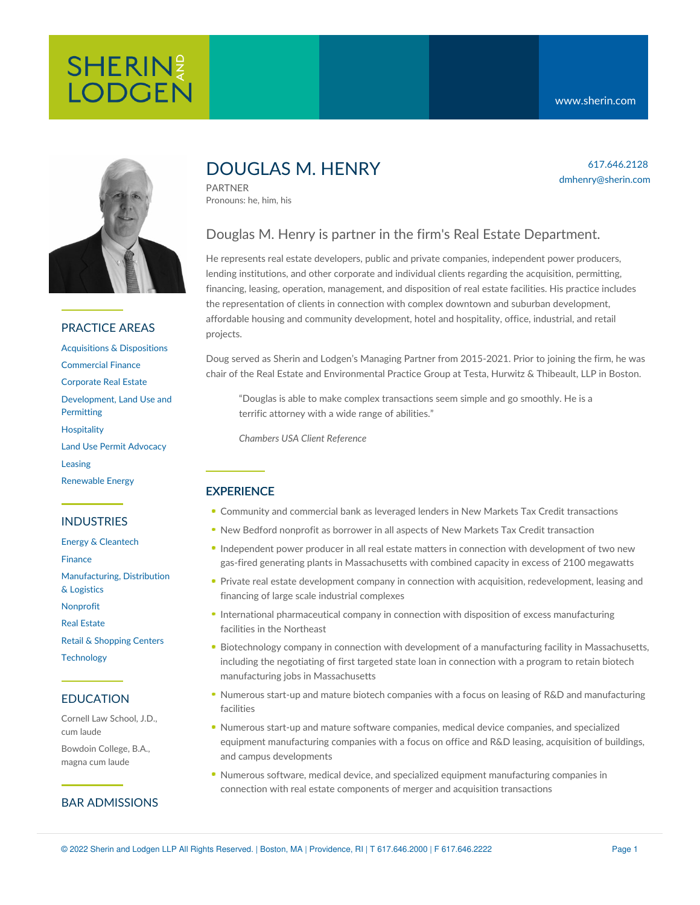# **SHERIN**<sup>2</sup> **LODGEN**

617.646.2128 dmhenry@sherin.com



## PRACTICE AREAS

[Acquisitions](https://www.sherin.com/practice-areas/real-estate/acquisitions-and-dispositions/) & Dispositions [Commercial](https://www.sherin.com/practice-areas/commercial-finance/) Finance [Corporate](https://www.sherin.com/practice-areas/real-estate/corporate-real-estate/) Real Estate [Development,](https://www.sherin.com/practice-areas/real-estate/development/) Land Use and **Permitting [Hospitality](https://www.sherin.com/practice-areas/hospitality/)** Land Use Permit [Advocacy](https://www.sherin.com/practice-areas/real-estate/land-use-permit-advocacy/) [Leasing](https://www.sherin.com/practice-areas/real-estate/leasing/) [Renewable](https://www.sherin.com/practice-areas/renewable-energy/) Energy

## INDUSTRIES

Energy & [Cleantech](https://www.sherin.com/industries/energy-and-cleantech/) [Finance](https://www.sherin.com/industries/finance/) [Manufacturing,](https://www.sherin.com/industries/manufacturing-distribution-and-logistics/) Distribution & Logistics [Nonprofit](https://www.sherin.com/industries/nonprofit/) Real [Estate](https://www.sherin.com/industries/real-estate/) Retail & [Shopping](https://www.sherin.com/industries/retail-shopping-centers/) Centers **[Technology](https://www.sherin.com/industries/technology/)** 

## EDUCATION

Cornell Law School, J.D., cum laude

Bowdoin College, B.A., magna cum laude

## BAR ADMISSIONS

## DOUGLAS M. HENRY

PARTNER Pronouns: he, him, his

## Douglas M. Henry is partner in the firm's Real Estate Department.

He represents real estate developers, public and private companies, independent power producers, lending institutions, and other corporate and individual clients regarding the acquisition, permitting, financing, leasing, operation, management, and disposition of real estate facilities. His practice includes the representation of clients in connection with complex downtown and suburban development, affordable housing and community development, hotel and hospitality, office, industrial, and retail projects.

Doug served as Sherin and Lodgen's Managing Partner from 2015-2021. Prior to joining the firm, he was chair of the Real Estate and Environmental Practice Group at Testa, Hurwitz & Thibeault, LLP in Boston.

"Douglas is able to make complex transactions seem simple and go smoothly. He is a terrific attorney with a wide range of abilities."

*[Chambers](https://chambers.com/lawyer/douglas-henry-usa-5:177855) USA Client Reference*

## **EXPERIENCE**

- Community and commercial bank as leveraged lenders in New Markets Tax Credit transactions
- New Bedford nonprofit as borrower in all aspects of New Markets Tax Credit transaction
- Independent power producer in all real estate matters in connection with development of two new gas-fired generating plants in Massachusetts with combined capacity in excess of 2100 megawatts
- Private real estate development company in connection with acquisition, redevelopment, leasing and financing of large scale industrial complexes
- International pharmaceutical company in connection with disposition of excess manufacturing facilities in the Northeast
- Biotechnology company in connection with development of a manufacturing facility in Massachusetts, including the negotiating of first targeted state loan in connection with a program to retain biotech manufacturing jobs in Massachusetts
- Numerous start-up and mature biotech companies with a focus on leasing of R&D and manufacturing facilities
- Numerous start-up and mature software companies, medical device companies, and specialized equipment manufacturing companies with a focus on office and R&D leasing, acquisition of buildings, and campus developments
- Numerous software, medical device, and specialized equipment manufacturing companies in connection with real estate components of merger and acquisition transactions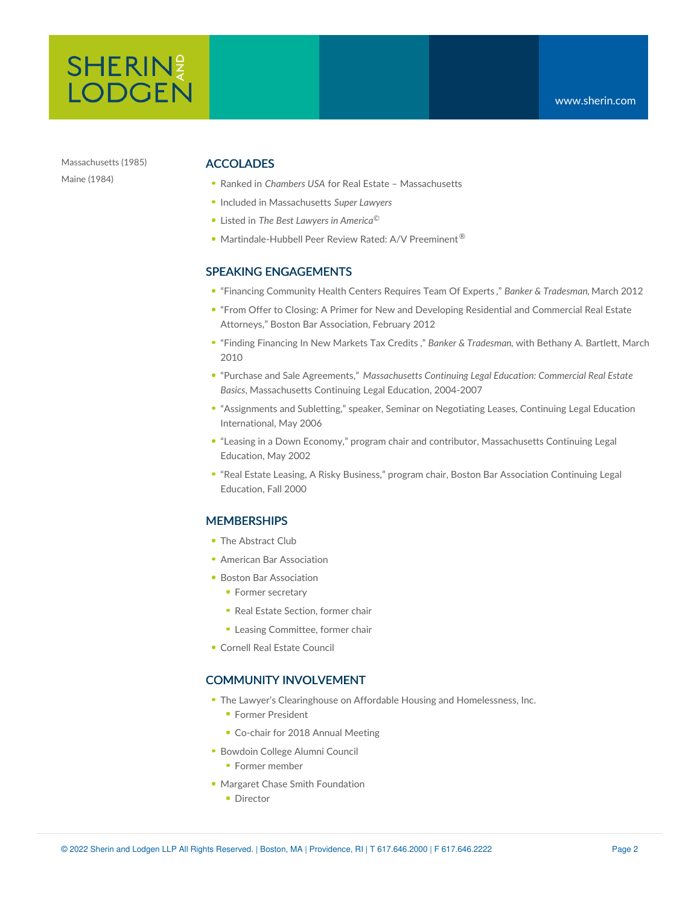

Massachusetts (1985) Maine (1984)

## ACCOLADES

- Ranked in *Chambers USA* for Real Estate Massachusetts
- Included in Massachusetts *Super Lawyers*
- Listed in *The Best Lawyers in America* ©
- Martindale-Hubbell Peer Review Rated: A/V Preeminent<sup>®</sup>

#### SPEAKING ENGAGEMENTS

- "Financing [Community](https://www.sherin.com/wp-content/uploads/sh_files/Documents/DMH%20BAB%20Lowell%20Community.pdf) Health Centers Requires Team Of Experts ," *Banker & Tradesman,* March 2012
- "From Offer to Closing: A Primer for New and Developing Residential and Commercial Real Estate Attorneys," Boston Bar [Association,](http://www.bostonbar.org/sections/real-estate/2012/02/17/tackling-the-basics-real-estate-deals-from-offer-to-closing) February 2012
- "Finding [Financing](https://www.sherin.com/wp-content/uploads/sh_files/News/DMH_BAB_Finding_Financing_in_NMTC_BT.pdf) In New Markets Tax Credits ," *Banker & Tradesman*, with Bethany A. Bartlett, March 2010
- "Purchase and Sale Agreements," *Massachusetts Continuing Legal Education: Commercial Real Estate Basics*, Massachusetts Continuing Legal Education, 2004-2007
- "Assignments and Subletting," speaker, Seminar on Negotiating Leases, Continuing Legal Education International, May 2006
- "Leasing in a Down Economy," program chair and contributor, Massachusetts Continuing Legal Education, May 2002
- "Real Estate Leasing, A Risky Business," program chair, Boston Bar Association Continuing Legal Education, Fall 2000

## **MEMBERSHIPS**

- The Abstract Club
- American Bar [Association](http://www.abanet.org/)
- **Boston Bar [Association](http://www.bostonbar.org/)** 
	- Former secretary
	- Real Estate Section, former chair
	- Leasing Committee, former chair
- Cornell Real Estate [Council](http://realestate.cornell.edu/council/)

## COMMUNITY INVOLVEMENT

- The Lawyer's Clearinghouse on Affordable Housing and [Homelessness,](http://www.lawyersclearinghouse.org/index.php) Inc.
	- **Former President**
	- Co-chair for 2018 Annual Meeting
- [Bowdoin](http://alumni.bowdoin.edu/gateway/page.aspx?pid=818) College Alumni Council
	- **Former member**
- Margaret Chase Smith Foundation
	- Director